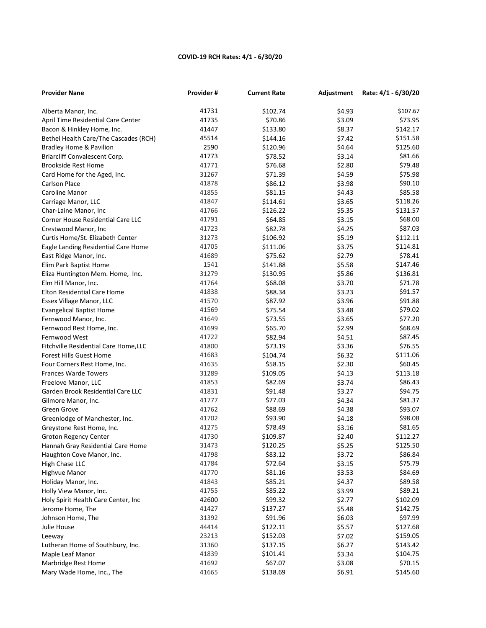## **COVID-19 RCH Rates: 4/1 - 6/30/20**

| <b>Provider Nane</b>                  | Provider# | <b>Current Rate</b> | Adjustment | Rate: 4/1 - 6/30/20 |
|---------------------------------------|-----------|---------------------|------------|---------------------|
| Alberta Manor, Inc.                   | 41731     | \$102.74            | \$4.93     | \$107.67            |
| April Time Residential Care Center    | 41735     | \$70.86             | \$3.09     | \$73.95             |
| Bacon & Hinkley Home, Inc.            | 41447     | \$133.80            | \$8.37     | \$142.17            |
| Bethel Health Care/The Cascades (RCH) | 45514     | \$144.16            | \$7.42     | \$151.58            |
| Bradley Home & Pavilion               | 2590      | \$120.96            | \$4.64     | \$125.60            |
| Briarcliff Convalescent Corp.         | 41773     | \$78.52             | \$3.14     | \$81.66             |
| <b>Brookside Rest Home</b>            | 41771     | \$76.68             | \$2.80     | \$79.48             |
| Card Home for the Aged, Inc.          | 31267     | \$71.39             | \$4.59     | \$75.98             |
| <b>Carlson Place</b>                  | 41878     | \$86.12             | \$3.98     | \$90.10             |
| Caroline Manor                        | 41855     | \$81.15             | \$4.43     | \$85.58             |
| Carriage Manor, LLC                   | 41847     | \$114.61            | \$3.65     | \$118.26            |
| Char-Laine Manor, Inc                 | 41766     | \$126.22            | \$5.35     | \$131.57            |
| Corner House Residential Care LLC     | 41791     | \$64.85             | \$3.15     | \$68.00             |
| Crestwood Manor, Inc                  | 41723     | \$82.78             | \$4.25     | \$87.03             |
| Curtis Home/St. Elizabeth Center      | 31273     | \$106.92            | \$5.19     | \$112.11            |
| Eagle Landing Residential Care Home   | 41705     | \$111.06            | \$3.75     | \$114.81            |
| East Ridge Manor, Inc.                | 41689     | \$75.62             | \$2.79     | \$78.41             |
| Elim Park Baptist Home                | 1541      | \$141.88            | \$5.58     | \$147.46            |
| Eliza Huntington Mem. Home, Inc.      | 31279     | \$130.95            | \$5.86     | \$136.81            |
| Elm Hill Manor, Inc.                  | 41764     | \$68.08             | \$3.70     | \$71.78             |
| Elton Residential Care Home           | 41838     | \$88.34             | \$3.23     | \$91.57             |
| Essex Village Manor, LLC              | 41570     | \$87.92             | \$3.96     | \$91.88             |
| <b>Evangelical Baptist Home</b>       | 41569     | \$75.54             | \$3.48     | \$79.02             |
| Fernwood Manor, Inc.                  | 41649     | \$73.55             | \$3.65     | \$77.20             |
| Fernwood Rest Home, Inc.              | 41699     | \$65.70             | \$2.99     | \$68.69             |
| Fernwood West                         | 41722     | \$82.94             | \$4.51     | \$87.45             |
| Fitchville Residential Care Home, LLC | 41800     | \$73.19             | \$3.36     | \$76.55             |
| <b>Forest Hills Guest Home</b>        | 41683     | \$104.74            | \$6.32     | \$111.06            |
| Four Corners Rest Home, Inc.          | 41635     | \$58.15             | \$2.30     | \$60.45             |
| <b>Frances Warde Towers</b>           | 31289     | \$109.05            | \$4.13     | \$113.18            |
| Freelove Manor, LLC                   | 41853     | \$82.69             | \$3.74     | \$86.43             |
| Garden Brook Residential Care LLC     | 41831     | \$91.48             | \$3.27     | \$94.75             |
| Gilmore Manor, Inc.                   | 41777     | \$77.03             | \$4.34     | \$81.37             |
| Green Grove                           | 41762     | \$88.69             | \$4.38     | \$93.07             |
| Greenlodge of Manchester, Inc.        | 41702     | \$93.90             | \$4.18     | \$98.08             |
| Greystone Rest Home, Inc.             | 41275     | \$78.49             | \$3.16     | \$81.65             |
| <b>Groton Regency Center</b>          | 41730     | \$109.87            | \$2.40     | \$112.27            |
| Hannah Gray Residential Care Home     | 31473     | \$120.25            | \$5.25     | \$125.50            |
| Haughton Cove Manor, Inc.             | 41798     | \$83.12             | \$3.72     | \$86.84             |
| High Chase LLC                        | 41784     | \$72.64             | \$3.15     | \$75.79             |
| Highvue Manor                         | 41770     | \$81.16             | \$3.53     | \$84.69             |
| Holiday Manor, Inc.                   | 41843     | \$85.21             | \$4.37     | \$89.58             |
| Holly View Manor, Inc.                | 41755     | \$85.22             | \$3.99     | \$89.21             |
| Holy Spirit Health Care Center, Inc   | 42600     | \$99.32             | \$2.77     | \$102.09            |
| Jerome Home, The                      | 41427     | \$137.27            | \$5.48     | \$142.75            |
| Johnson Home, The                     | 31392     | \$91.96             | \$6.03     | \$97.99             |
| Julie House                           | 44414     | \$122.11            | \$5.57     | \$127.68            |
| Leeway                                | 23213     | \$152.03            | \$7.02     | \$159.05            |
| Lutheran Home of Southbury, Inc.      | 31360     | \$137.15            | \$6.27     | \$143.42            |
| Maple Leaf Manor                      | 41839     | \$101.41            | \$3.34     | \$104.75            |
| Marbridge Rest Home                   | 41692     | \$67.07             | \$3.08     | \$70.15             |
| Mary Wade Home, Inc., The             | 41665     | \$138.69            | \$6.91     | \$145.60            |